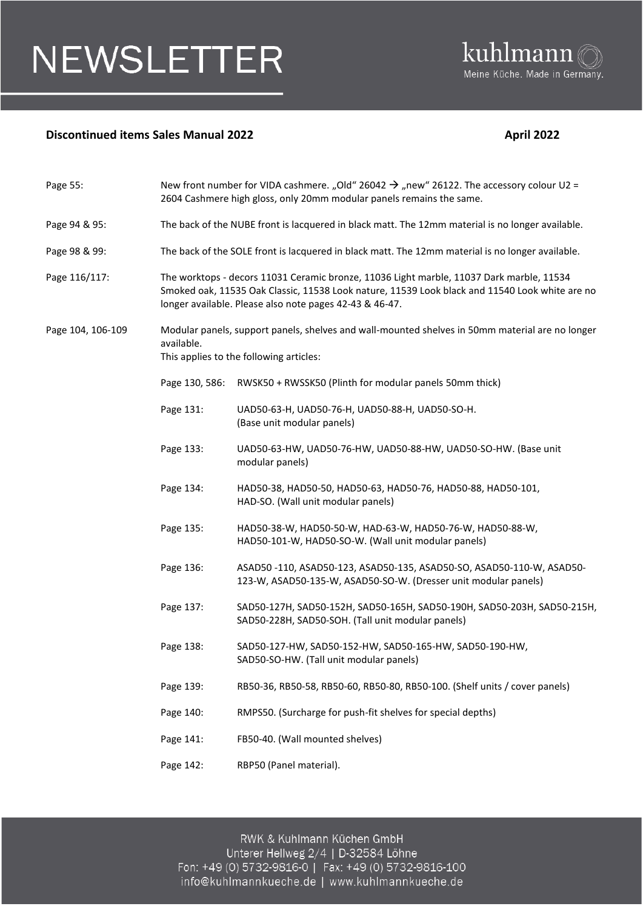## NEWSLETTER



## kuhlmann Meine Küche. Made in Germany.

| Page 55:          | New front number for VIDA cashmere. "Old" 26042 $\rightarrow$ "new" 26122. The accessory colour U2 =<br>2604 Cashmere high gloss, only 20mm modular panels remains the same.                                                                          |                                                                                                                                                                                                                                                             |  |  |  |  |  |  |  |
|-------------------|-------------------------------------------------------------------------------------------------------------------------------------------------------------------------------------------------------------------------------------------------------|-------------------------------------------------------------------------------------------------------------------------------------------------------------------------------------------------------------------------------------------------------------|--|--|--|--|--|--|--|
| Page 94 & 95:     | The back of the NUBE front is lacquered in black matt. The 12mm material is no longer available.                                                                                                                                                      |                                                                                                                                                                                                                                                             |  |  |  |  |  |  |  |
| Page 98 & 99:     | The back of the SOLE front is lacquered in black matt. The 12mm material is no longer available.                                                                                                                                                      |                                                                                                                                                                                                                                                             |  |  |  |  |  |  |  |
| Page 116/117:     | The worktops - decors 11031 Ceramic bronze, 11036 Light marble, 11037 Dark marble, 11534<br>Smoked oak, 11535 Oak Classic, 11538 Look nature, 11539 Look black and 11540 Look white are no<br>longer available. Please also note pages 42-43 & 46-47. |                                                                                                                                                                                                                                                             |  |  |  |  |  |  |  |
| Page 104, 106-109 | Modular panels, support panels, shelves and wall-mounted shelves in 50mm material are no longer<br>available.<br>This applies to the following articles:                                                                                              |                                                                                                                                                                                                                                                             |  |  |  |  |  |  |  |
|                   | Page 130, 586: RWSK50 + RWSSK50 (Plinth for modular panels 50mm thick)                                                                                                                                                                                |                                                                                                                                                                                                                                                             |  |  |  |  |  |  |  |
|                   | Page 131:                                                                                                                                                                                                                                             | UAD50-63-H, UAD50-76-H, UAD50-88-H, UAD50-SO-H.<br>(Base unit modular panels)                                                                                                                                                                               |  |  |  |  |  |  |  |
|                   | Page 133:                                                                                                                                                                                                                                             | UAD50-63-HW, UAD50-76-HW, UAD50-88-HW, UAD50-SO-HW. (Base unit<br>modular panels)                                                                                                                                                                           |  |  |  |  |  |  |  |
|                   | Page 134:                                                                                                                                                                                                                                             | HAD50-38, HAD50-50, HAD50-63, HAD50-76, HAD50-88, HAD50-101,<br>HAD-SO. (Wall unit modular panels)                                                                                                                                                          |  |  |  |  |  |  |  |
|                   | Page 135:                                                                                                                                                                                                                                             | HAD50-38-W, HAD50-50-W, HAD-63-W, HAD50-76-W, HAD50-88-W,<br>HAD50-101-W, HAD50-SO-W. (Wall unit modular panels)<br>ASAD50-110, ASAD50-123, ASAD50-135, ASAD50-SO, ASAD50-110-W, ASAD50-<br>123-W, ASAD50-135-W, ASAD50-SO-W. (Dresser unit modular panels) |  |  |  |  |  |  |  |
|                   | Page 136:                                                                                                                                                                                                                                             |                                                                                                                                                                                                                                                             |  |  |  |  |  |  |  |
|                   | Page 137:                                                                                                                                                                                                                                             | SAD50-127H, SAD50-152H, SAD50-165H, SAD50-190H, SAD50-203H, SAD50-215H,<br>SAD50-228H, SAD50-SOH. (Tall unit modular panels)                                                                                                                                |  |  |  |  |  |  |  |
|                   | Page 138:                                                                                                                                                                                                                                             | SAD50-127-HW, SAD50-152-HW, SAD50-165-HW, SAD50-190-HW,<br>SAD50-SO-HW. (Tall unit modular panels)                                                                                                                                                          |  |  |  |  |  |  |  |
|                   | Page 139:                                                                                                                                                                                                                                             | RB50-36, RB50-58, RB50-60, RB50-80, RB50-100. (Shelf units / cover panels)                                                                                                                                                                                  |  |  |  |  |  |  |  |
|                   | Page 140:                                                                                                                                                                                                                                             | RMPS50. (Surcharge for push-fit shelves for special depths)                                                                                                                                                                                                 |  |  |  |  |  |  |  |
|                   | Page 141:                                                                                                                                                                                                                                             | FB50-40. (Wall mounted shelves)                                                                                                                                                                                                                             |  |  |  |  |  |  |  |
|                   | Page 142:                                                                                                                                                                                                                                             | RBP50 (Panel material).                                                                                                                                                                                                                                     |  |  |  |  |  |  |  |

RWK & Kuhlmann Küchen GmbH Unterer Hellweg 2/4 | D-32584 Löhne<br>Fon: +49 (0) 5732-9816-0 | Fax: +49 (0) 5732-9816-100 info@kuhlmannkueche.de | www.kuhlmannkueche.de